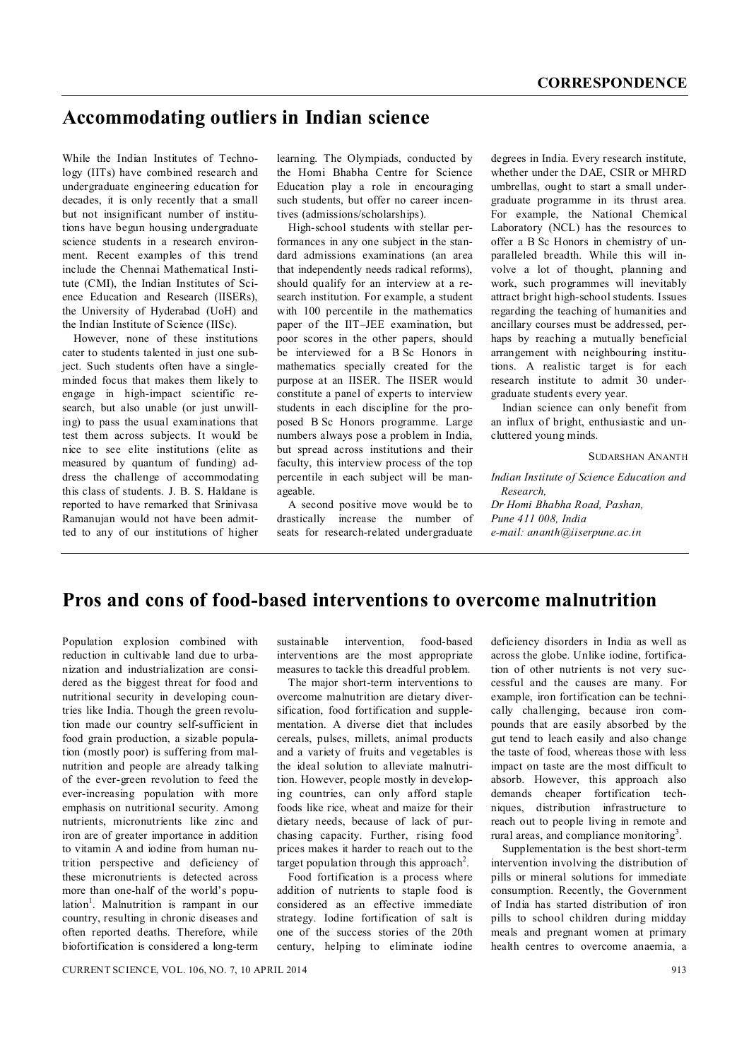# **Accommodating outliers in Indian science**

While the Indian Institutes of Technology (IITs) have combined research and undergraduate engineering education for decades, it is only recently that a small but not insignificant number of institutions have begun housing undergraduate science students in a research environment. Recent examples of this trend include the Chennai Mathematical Institute (CMI), the Indian Institutes of Science Education and Research (IISERs), the University of Hyderabad (UoH) and the Indian Institute of Science (IISc).

However, none of these institutions cater to students talented in just one subject. Such students often have a singleminded focus that makes them likely to engage in high-impact scientific research, but also unable (or just unwilling) to pass the usual examinations that test them across subjects. It would be nice to see elite institutions (elite as measured by quantum of funding) address the challenge of accommodating this class of students. J. B. S. Haldane is reported to have remarked that Srinivasa Ramanujan would not have been admitted to any of our institutions of higher learning. The Olympiads, conducted by the Homi Bhabha Centre for Science Education play a role in encouraging such students, but offer no career incentives (admissions/scholarships).

High-school students with stellar performances in any one subject in the standard admissions examinations (an area that independently needs radical reforms), should qualify for an interview at a research institution. For example, a student with 100 percentile in the mathematics paper of the IIT–JEE examination, but poor scores in the other papers, should be interviewed for a B Sc Honors in mathematics specially created for the purpose at an IISER. The IISER would constitute a panel of experts to interview students in each discipline for the proposed B Sc Honors programme. Large numbers always pose a problem in India, but spread across institutions and their faculty, this interview process of the top percentile in each subject will be manageable.

A second positive move would be to drastically increase the number of seats for research-related undergraduate degrees in India. Every research institute, whether under the DAE, CSIR or MHRD umbrellas, ought to start a small undergraduate programme in its thrust area. For example, the National Chemical Laboratory (NCL) has the resources to offer a B Sc Honors in chemistry of unparalleled breadth. While this will involve a lot of thought, planning and work, such programmes will inevitably attract bright high-school students. Issues regarding the teaching of humanities and ancillary courses must be addressed, perhaps by reaching a mutually beneficial arrangement with neighbouring institutions. A realistic target is for each research institute to admit 30 undergraduate students every year.

Indian science can only benefit from an influx of bright, enthusiastic and uncluttered young minds.

SUDARSHAN ANANTH

*Indian Institute of Science Education and Research, Dr Homi Bhabha Road, Pashan, Pune 411 008, India e-mail: ananth@iiserpune.ac.in*

## **Pros and cons of food-based interventions to overcome malnutrition**

Population explosion combined with reduction in cultivable land due to urbanization and industrialization are considered as the biggest threat for food and nutritional security in developing countries like India. Though the green revolution made our country self-sufficient in food grain production, a sizable population (mostly poor) is suffering from malnutrition and people are already talking of the ever-green revolution to feed the ever-increasing population with more emphasis on nutritional security. Among nutrients, micronutrients like zinc and iron are of greater importance in addition to vitamin A and iodine from human nutrition perspective and deficiency of these micronutrients is detected across more than one-half of the world's population<sup>1</sup>. Malnutrition is rampant in our country, resulting in chronic diseases and often reported deaths. Therefore, while biofortification is considered a long-term

sustainable intervention, food-based interventions are the most appropriate measures to tackle this dreadful problem.

The major short-term interventions to overcome malnutrition are dietary diversification, food fortification and supplementation. A diverse diet that includes cereals, pulses, millets, animal products and a variety of fruits and vegetables is the ideal solution to alleviate malnutrition. However, people mostly in developing countries, can only afford staple foods like rice, wheat and maize for their dietary needs, because of lack of purchasing capacity. Further, rising food prices makes it harder to reach out to the target population through this approach<sup>2</sup>.

Food fortification is a process where addition of nutrients to staple food is considered as an effective immediate strategy. Iodine fortification of salt is one of the success stories of the 20th century, helping to eliminate iodine deficiency disorders in India as well as across the globe. Unlike iodine, fortification of other nutrients is not very successful and the causes are many. For example, iron fortification can be technically challenging, because iron compounds that are easily absorbed by the gut tend to leach easily and also change the taste of food, whereas those with less impact on taste are the most difficult to absorb. However, this approach also demands cheaper fortification techniques, distribution infrastructure to reach out to people living in remote and rural areas, and compliance monitoring<sup>3</sup>.

Supplementation is the best short-term intervention involving the distribution of pills or mineral solutions for immediate consumption. Recently, the Government of India has started distribution of iron pills to school children during midday meals and pregnant women at primary health centres to overcome anaemia, a